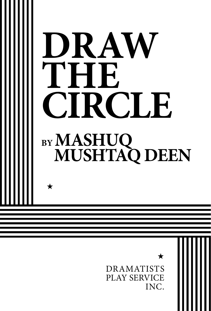

PLAY SERVICE INC.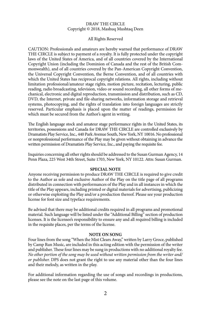#### DRAW THE CIRCLE Copyright © 2018, Mashuq Mushtaq Deen

#### All Rights Reserved

CAUTION: Professionals and amateurs are hereby warned that performance of DRAW THE CIRCLE is subject to payment of a royalty. It is fully protected under the copyright laws of the United States of America, and of all countries covered by the International Copyright Union (including the Dominion of Canada and the rest of the British Commonwealth), and of all countries covered by the Pan-American Copyright Convention, the Universal Copyright Convention, the Berne Convention, and of all countries with which the United States has reciprocal copyright relations. All rights, including without limitation professional/amateur stage rights, motion picture, recitation, lecturing, public reading, radio broadcasting, television, video or sound recording, all other forms of mechanical, electronic and digital reproduction, transmission and distribution, such as CD, DVD, the Internet, private and file-sharing networks, information storage and retrieval systems, photocopying, and the rights of translation into foreign languages are strictly reserved. Particular emphasis is placed upon the matter of readings, permission for which must be secured from the Author's agent in writing.

The English language stock and amateur stage performance rights in the United States, its territories, possessions and Canada for DRAW THE CIRCLE are controlled exclusively by Dramatists Play Service, Inc., 440 Park Avenue South, New York, NY 10016. No professional or nonprofessional performance of the Play may be given without obtaining in advance the written permission of Dramatists Play Service, Inc., and paying the requisite fee.

Inquiries concerning all other rights should be addressed to the Susan Gurman Agency, 14 Penn Plaza, 225 West 34th Street, Suite 1703, New York, NY 10122. Attn: Susan Gurman.

#### **SPECIAL NOTE**

Anyone receiving permission to produce DRAW THE CIRCLE is required to give credit to the Author as sole and exclusive Author of the Play on the title page of all programs distributed in connection with performances of the Play and in all instances in which the title of the Play appears, including printed or digital materials for advertising, publicizing or otherwise exploiting the Play and/or a production thereof. Please see your production license for font size and typeface requirements.

Be advised that there may be additional credits required in all programs and promotional material. Such language will be listed under the "Additional Billing" section of production licenses. It is the licensee's responsibility to ensure any and all required billing is included in the requisite places, per the terms of the license.

#### **NOTE ON SONG**

Four lines from the song "When the Mist Clears Away," written by Larry Groce, published by Camp Run Music, are included in this acting edition with the permission of the writer and publisher. These four lines may be sung in productions with no additional royalty fee. *No other portion of the song may be used without written permission from the writer and/ or publisher.* DPS does not grant the right to use any material other than the four lines and their melody, as written in the play.

For additional information regarding the use of songs and recordings in productions, please see the note on the last page of this volume.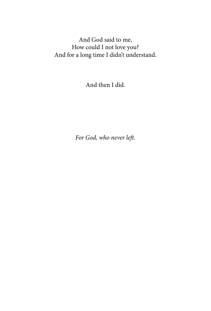And God said to me, How could I not love you? And for a long time I didn't understand.

And then I did.

*For God, who never left.*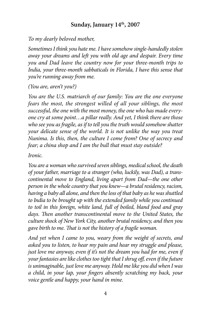## **Sunday, January 14th, 2007**

*To my dearly beloved mother,*

*Sometimes I think you hate me. I have somehow single-handedly stolen away your dreams and left you with old age and despair. Every time you and Dad leave the country now for your three-month trips to India, your three-month sabbaticals in Florida, I have this sense that you're running away from me.*

*(You are, aren't you?)*

*You are the U.S. matriarch of our family: You are the one everyone fears the most, the strongest willed of all your siblings, the most successful, the one with the most money, the one who has made everyone cry at some point…a pillar really. And yet, I think there are those who see you as fragile, as if to tell you the truth would somehow shatter your delicate sense of the world. It is not unlike the way you treat Nunima. Is this, then, the culture I come from? One of secrecy and fear; a china shop and I am the bull that must stay outside?*

*Ironic.*

*You are a woman who survived seven siblings, medical school, the death of your father, marriage to a stranger (who, luckily, was Dad), a transcontinental move to England, living apart from Dad—the one other person in the whole country that you knew—a brutal residency, racism, having a baby all alone, and then the loss of that baby as he was shuttled to India to be brought up with the extended family while you continued to toil in this foreign, white land, full of boiled, bland food and gray days. Then another transcontinental move to the United States, the culture shock of New York City, another brutal residency, and then you gave birth to me. That is not the history of a fragile woman.*

*And yet when I came to you, weary from the weight of secrets, and asked you to listen, to hear my pain and hear my struggle and please, just love me anyway, even if it's not the dream you had for me, even if your fantasies are like clothes too tight that I shrug off, even if the future is unimaginable, just love me anyway. Hold me like you did when I was a child, in your lap, your fingers absently scratching my back, your voice gentle and happy, your hand in mine.*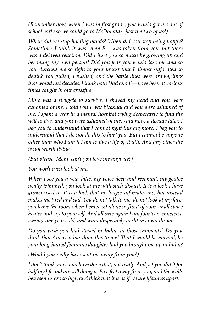*(Remember how, when I was in first grade, you would get me out of school early so we could go to McDonald's, just the two of us?)*

*When did we stop holding hands? When did you stop being happy? Sometimes I think it was when F— was taken from you, but there was a delayed reaction. Did I hurt you so much by growing up and becoming my own person? Did you fear you would lose me and so you clutched me so tight to your breast that I almost suffocated to death? You pulled, I pushed, and the battle lines were drawn, lines that would last decades. I think both Dad and F— have been at various times caught in our crossfire.*

*Mine was a struggle to survive. I shaved my head and you were ashamed of me. I told you I was bisexual and you were ashamed of me. I spent a year in a mental hospital trying desperately to find the will to live, and you were ashamed of me. And now, a decade later, I beg you to understand that I cannot fight this anymore. I beg you to understand that I do not do this to hurt you. But I cannot be anyone other than who I am if I am to live a life of Truth. And any other life is not worth living.* 

*(But please, Mom, can't you love me anyway?)*

*You won't even look at me.*

*When I see you a year later, my voice deep and resonant, my goatee neatly trimmed, you look at me with such disgust. It is a look I have grown used to. It is a look that no longer infuriates me, but instead makes me tired and sad. You do not talk to me, do not look at my face; you leave the room when I enter, sit alone in front of your small space heater and cry to yourself. And all over again I am fourteen, nineteen, twenty-one years old, and want desperately to slit my own throat.*

*Do you wish you had stayed in India, in those moments? Do you think that America has done this to me? That I would be normal, be your long-haired feminine daughter had you brought me up in India?*

*(Would you really have sent me away from you?)*

*I don't think you could have done that, not really. And yet you did it for half my life and are still doing it. Five feet away from you, and the walls between us are so high and thick that it is as if we are lifetimes apart.*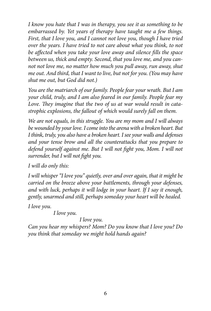*I know you hate that I was in therapy, you see it as something to be embarrassed by. Yet years of therapy have taught me a few things. First, that I love you, and I cannot not love you, though I have tried over the years. I have tried to not care about what you think, to not be affected when you take your love away and silence fills the space between us, thick and empty. Second, that you love me, and you cannot not love me, no matter how much you pull away, run away, shut me out. And third, that I want to live, but not for you. (You may have shut me out, but God did not.)*

*You are the matriarch of our family. People fear your wrath. But I am your child, truly, and I am also feared in our family. People fear my Love. They imagine that the two of us at war would result in catastrophic explosions, the fallout of which would surely fall on them.*

*We are not equals, in this struggle. You are my mom and I will always be wounded by your love. I come into the arena with a broken heart. But I think, truly, you also have a broken heart. I see your walls and defenses and your tense brow and all the counterattacks that you prepare to defend yourself against me. But I will not fight you, Mom. I will not surrender, but I will not fight you.*

*I will do only this:*

*I will whisper "I love you" quietly, over and over again, that it might be carried on the breeze above your battlements, through your defenses, and with luck, perhaps it will lodge in your heart. If I say it enough, gently, unarmed and still, perhaps someday your heart will be healed.*

*I love you.* 

*I love you.* 

*I love you.*

*Can you hear my whispers? Mom? Do you know that I love you? Do you think that someday we might hold hands again?*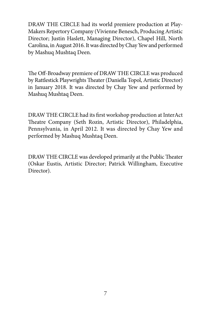DRAW THE CIRCLE had its world premiere production at Play-Makers Repertory Company (Vivienne Benesch, Producing Artistic Director; Justin Haslett, Managing Director), Chapel Hill, North Carolina, in August 2016. It was directed by Chay Yew and performed by Mashuq Mushtaq Deen.

The Off-Broadway premiere of DRAW THE CIRCLE was produced by Rattlestick Playwrights Theater (Daniella Topol, Artistic Director) in January 2018. It was directed by Chay Yew and performed by Mashuq Mushtaq Deen.

DRAW THE CIRCLE had its first workshop production at InterAct Theatre Company (Seth Rozin, Artistic Director), Philadelphia, Pennsylvania, in April 2012. It was directed by Chay Yew and performed by Mashuq Mushtaq Deen.

DRAW THE CIRCLE was developed primarily at the Public Theater (Oskar Eustis, Artistic Director; Patrick Willingham, Executive Director).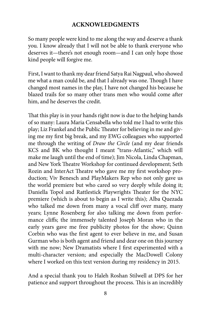## **ACKNOWLEDGMENTS**

So many people were kind to me along the way and deserve a thank you. I know already that I will not be able to thank everyone who deserves it—there's not enough room—and I can only hope those kind people will forgive me.

First, I want to thank my dear friend Satya Rai Nagpaul, who showed me what a man could be, and that I already was one. Though I have changed most names in the play, I have not changed his because he blazed trails for so many other trans men who would come after him, and he deserves the credit.

That this play is in your hands right now is due to the helping hands of so many: Laura Maria Censabella who told me I had to write this play; Liz Frankel and the Public Theater for believing in me and giving me my first big break, and my EWG colleagues who supported me through the writing of *Draw the Circle* (and my dear friends KCS and BK who thought I meant "trans-Atlantic," which will make me laugh until the end of time); Jim Nicola, Linda Chapman, and New York Theatre Workshop for continued development; Seth Rozin and InterAct Theatre who gave me my first workshop production; Viv Benesch and PlayMakers Rep who not only gave us the world premiere but who cared so very deeply while doing it; Daniella Topol and Rattlestick Playwrights Theater for the NYC premiere (which is about to begin as I write this); Alba Quezada who talked me down from many a vocal cliff over many, many years; Lynne Rosenberg for also talking me down from performance cliffs; the immensely talented Joseph Moran who in the early years gave me free publicity photos for the show; Quinn Corbin who was the first agent to ever believe in me, and Susan Gurman who is both agent and friend and dear one on this journey with me now; New Dramatists where I first experimented with a multi-character version; and especially the MacDowell Colony where I worked on this text version during my residency in 2015.

And a special thank you to Haleh Roshan Stilwell at DPS for her patience and support throughout the process. This is an incredibly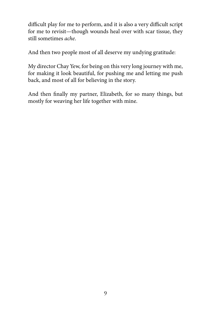difficult play for me to perform, and it is also a very difficult script for me to revisit—though wounds heal over with scar tissue, they still sometimes *ache*.

And then two people most of all deserve my undying gratitude:

My director Chay Yew, for being on this very long journey with me, for making it look beautiful, for pushing me and letting me push back, and most of all for believing in the story.

And then finally my partner, Elizabeth, for so many things, but mostly for weaving her life together with mine.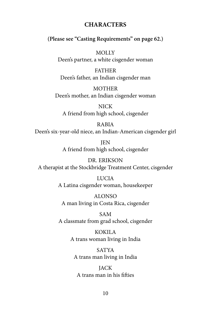#### **CHARACTERS**

#### **(Please see "Casting Requirements" on page 62.)**

**MOLLY** Deen's partner, a white cisgender woman

FATHER Deen's father, an Indian cisgender man

**MOTHER** Deen's mother, an Indian cisgender woman

NICK A friend from high school, cisgender

#### RABIA

Deen's six-year-old niece, an Indian-American cisgender girl

*IEN* A friend from high school, cisgender

DR. ERIKSON A therapist at the Stockbridge Treatment Center, cisgender

> LUCIA A Latina cisgender woman, housekeeper

ALONSO A man living in Costa Rica, cisgender

SAM A classmate from grad school, cisgender

> KOKILA A trans woman living in India

SATYA A trans man living in India

**JACK** A trans man in his fifties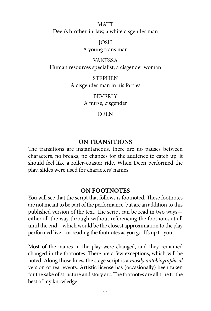**MATT** Deen's brother-in-law, a white cisgender man

JOSH

A young trans man

VANESSA Human resources specialist, a cisgender woman

> STEPHEN A cisgender man in his forties

> > **BEVERLY** A nurse, cisgender

> > > DEEN

#### **ON TRANSITIONS**

The transitions are instantaneous, there are no pauses between characters, no breaks, no chances for the audience to catch up, it should feel like a roller-coaster ride. When Deen performed the play, slides were used for characters' names.

#### **ON FOOTNOTES**

You will see that the script that follows is footnoted. These footnotes are not meant to be part of the performance, but are an addition to this published version of the text. The script can be read in two ways either all the way through without referencing the footnotes at all until the end—which would be the closest approximation to the play performed live—or reading the footnotes as you go. It's up to you.

Most of the names in the play were changed, and they remained changed in the footnotes. There are a few exceptions, which will be noted. Along those lines, the stage script is a *mostly autobiographical* version of real events. Artistic license has (occasionally) been taken for the sake of structure and story arc. The footnotes are all true to the best of my knowledge.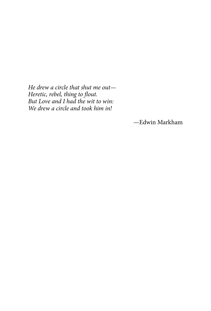*He drew a circle that shut me out— Heretic, rebel, thing to flout. But Love and I had the wit to win: We drew a circle and took him in!*

—Edwin Markham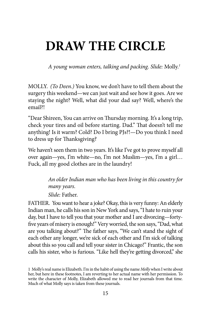# **DRAW THE CIRCLE**

*A young woman enters, talking and packing. Slide:* Molly.*<sup>1</sup>*

MOLLY. *(To Deen.)* You know, we don't have to tell them about the surgery this weekend—we can just wait and see how it goes. Are we staying the night? Well, what did your dad say? Well, where's the email?!

"Dear Shireen, You can arrive on Thursday morning. It's a long trip, check your tires and oil before starting. Dad." That doesn't tell me anything! Is it warm? Cold? Do I bring PJs?!—Do you think I need to dress up for Thanksgiving?

We haven't seen them in two years. It's like I've got to prove myself all over again—yes, I'm white—no, I'm not Muslim—yes, I'm a girl… Fuck, all my good clothes are in the laundry!

> *An older Indian man who has been living in this country for many years. Slide:* Father.

FATHER. You want to hear a joke? Okay, this is very funny: An elderly Indian man, he calls his son in New York and says, "I hate to ruin your day, but I have to tell you that your mother and I are divorcing—fortyfive years of misery is enough!" Very worried, the son says, "Dad, what are you talking about?" The father says, "We can't stand the sight of each other any longer, we're sick of each other and I'm sick of talking about this so you call and tell your sister in Chicago!" Frantic, the son calls his sister, who is furious. "Like hell they're getting divorced," she

<sup>1</sup> Molly's real name is Elizabeth. I'm in the habit of using the name *Molly* when I write about her, but here in these footnotes, I am reverting to her actual name with her permission. To write the character of Molly, Elizabeth allowed me to read her journals from that time. Much of what Molly says is taken from these journals.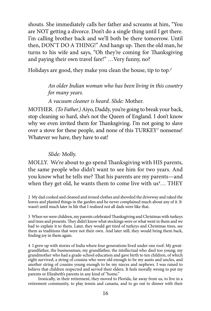shouts. She immediately calls her father and screams at him, "You are NOT getting a divorce. Don't do a single thing until I get there. I'm calling brother back and we'll both be there tomorrow. Until then, DON'T DO A THING!" And hangs up. Then the old man, he turns to his wife and says, "Oh they're coming for Thanksgiving and paying their own travel fare!" …Very funny, no?

Holidays are good, they make you clean the house, tip to top.*<sup>2</sup>*

*An older Indian woman who has been living in this country for many years.*

*A vacuum cleaner is heard. Slide:* Mother.

MOTHER. *(To Father.)* Aiyo, Daddy, you're going to break your back, stop cleaning so hard, she's not the Queen of England. I don't know why we even invited them for Thanksgiving. I'm not going to slave over a stove for these people, and none of this TURKEY*<sup>3</sup>* nonsense! Whatever we have, they have to eat!

#### *Slide:* Molly.

MOLLY. We're about to go spend Thanksgiving with HIS parents, the same people who didn't want to see him for two years. And you know what he tells me? That his parents are my parents—and when they get old, he wants them to come live with us*<sup>4</sup>* … THEY

2 My dad cooked and cleaned and ironed clothes and shoveled the driveway and raked the leaves and planted things in the garden and he never complained much about any of it. It wasn't until much later in life that I realized not all dads were like that.

3 When we were children, my parents celebrated Thanksgiving and Christmas with turkeys and trees and presents. They didn't know what stockings were or what went in them and we had to explain it to them. Later, they would get tired of turkeys and Christmas trees, see them as traditions that were not their own. And later still, they would bring them back, finding joy in them again.

4 I grew up with stories of India where four generations lived under one roof: My greatgrandfather, the businessman; my grandfather, the intellectual who died too young; my grandmother who had a grade-school education and gave birth to ten children, of which eight survived; a string of cousins who were old enough to be my aunts and uncles, and another string of cousins young enough to be my nieces and nephews. I was raised to believe that children respected and served their elders. It feels morally wrong to put my parents or Elizabeth's parents in any kind of "home."

Ironically, in their retirement, they moved to Florida, far away from us, to live in a retirement community, to play tennis and canasta, and to go out to dinner with their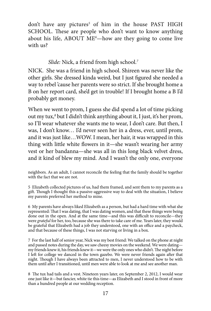don't have any pictures*<sup>5</sup>* of him in the house PAST HIGH SCHOOL. These are people who don't want to know anything about his life, ABOUT ME*<sup>6</sup>* —how are they going to come live with us?

*Slide:* Nick, a friend from high school.*<sup>7</sup>*

NICK. She was a friend in high school. Shireen was never like the other girls. She dressed kinda weird, but I just figured she needed a way to rebel 'cause her parents were so strict. If she brought home a B on her report card, she'd get in trouble! If I brought home a B I'd probably get money.

When we went to prom, I guess she did spend a lot of time picking out my tux,<sup>8</sup> but I didn't think anything about it, I just, it's her prom, so I'll wear whatever she wants me to wear, I don't care. But then, I was, I don't know… I'd never seen her in a dress, ever, until prom, and it was just like…WOW. I mean, her hair, it was wrapped in this thing with little white flowers in it—she wasn't wearing her army vest or her bandanna—she was all in this long black velvet dress, and it kind of blew my mind. And I wasn't the only one, everyone

neighbors. As an adult, I cannot reconcile the feeling that the family should be together with the fact that we are not.

5 Elizabeth collected pictures of us, had them framed, and sent them to my parents as a gift. Though I thought this a passive-aggressive way to deal with the situation, I believe my parents preferred her method to mine.

6 My parents have always liked Elizabeth as a person, but had a hard time with what she represented: That I was dating, that I was dating women, and that these things were being done out in the open. And at the same time—and this was difficult to reconcile—they were *grateful* for her, too, because she was there to take care of me. Years later, they would be grateful that Elizabeth had a job they understood, one with an office and a paycheck, and that because of these things, I was not starving or living in a box.

7 For the last half of senior year, Nick was my best friend: We talked on the phone at night and passed notes during the day, we saw cheesy movies on the weekend. We were dating my friends knew it, his friends knew it—we were the only ones who didn't. The night before I left for college we danced in the town gazebo. We were never friends again after that night. Though I have always been attracted to men, I never understood how to be with them until after I transitioned, until men were able to look at me and see another man.

8 The tux had tails and a vest. Nineteen years later, on September 2, 2012, I would wear one just like it—but fancier, white tie this time—as Elizabeth and I stood in front of more than a hundred people at our wedding reception.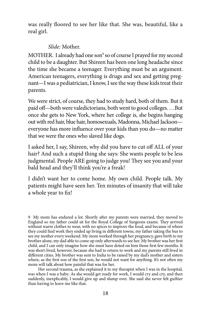was really floored to see her like that. She was, beautiful, like a real girl.

#### *Slide:* Mother.

MOTHER. I already had one son<sup>9</sup> so of course I prayed for my second child to be a daughter. But Shireen has been one long headache since the time she became a teenager. Everything must be an argument. American teenagers, everything is drugs and sex and getting pregnant—I was a pediatrician, I know, I see the way these kids treat their parents.

We were strict, of course, they had to study hard, both of them. But it paid off—both were valedictorians, both went to good colleges. …But once she gets to New York, where her college is, she begins hanging out with red hair, blue hair, homosexuals, Madonna, Michael Jackson everyone has more influence over your kids than you do—no matter that we were the ones who slaved like dogs.

I asked her, I say, Shireen, why did you have to cut off ALL of your hair? And such a stupid thing she says: She wants people to be less judgmental. People ARE going to judge you! They see you and your bald head and they'll think you're a freak!

I didn't want her to come home. My own child. People talk. My patients might have seen her. Ten minutes of insanity that will take a whole year to fix!

9 My mom has endured a lot. Shortly after my parents were married, they moved to England so my father could sit for the Royal College of Surgeons exams. They arrived without warm clothes to wear, with no spices to improve the food, and because of where they could find work they ended up living in different towns, my father taking the bus to see my mother every weekend. My mom worked through her pregnancy, gave birth to my brother alone, my dad able to come up only afterwards to see her. My brother was her first child, and I can only imagine how she must have doted on him those first few months. It was short-lived, however, because she had to return to work and my parents still lived in different cities. My brother was sent to India to be raised by my dad's mother and sisters where, as the first son of the first son, he would not want for anything. It's not often my mom will talk about how painful that was for her.

Her second trauma, as she explained it to my therapist when I was in the hospital, was when I was a baby: As she would get ready for work, I would cry and cry, and then suddenly, inexplicably, I would give up and slump over. She said she never felt guiltier than having to leave me like that.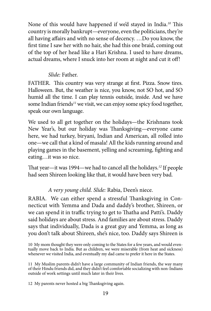None of this would have happened if we'd stayed in India.*<sup>10</sup>* This country is morally bankrupt—everyone, even the politicians, they're all having affairs and with no sense of decency. …Do you know, the first time I saw her with no hair, she had this one braid, coming out of the top of her head like a Hari Krishna. I used to have dreams, actual dreams, where I snuck into her room at night and cut it off!

### *Slide:* Father.

FATHER. This country was very strange at first. Pizza. Snow tires. Halloween. But, the weather is nice, you know, not SO hot, and SO humid all the time. I can play tennis outside, inside. And we have some Indian friends*<sup>11</sup>* we visit, we can enjoy some spicy food together, speak our own language.

We used to all get together on the holidays—the Krishnans took New Year's, but our holiday was Thanksgiving—everyone came here, we had turkey, biryani, Indian and American, all rolled into one—we call that a kind of masala! All the kids running around and playing games in the basement, yelling and screaming, fighting and eating…it was so nice.

That year—it was 1994—we had to cancel all the holidays.*<sup>12</sup>* If people had seen Shireen looking like that, it would have been very bad.

## *A very young child. Slide:* Rabia, Deen's niece.

RABIA. We can either spend a stressful Thanksgiving in Connecticut with Yemma and Dada and daddy's brother, Shireen, or we can spend it in traffic trying to get to Thatha and Patti's. Daddy said holidays are about stress. And families are about stress. Daddy says that individually, Dada is a great guy and Yemma, as long as you don't talk about Shireen, she's nice, too. Daddy says Shireen is

10 My mom thought they were only coming to the States for a few years, and would eventually move back to India. But as children, we were miserable (from heat and sickness) whenever we visited India, and eventually my dad came to prefer it here in the States.

11 My Muslim parents didn't have a large community of Indian friends, the way many of their Hindu friends did, and they didn't feel comfortable socializing with non-Indians outside of work settings until much later in their lives.

12 My parents never hosted a big Thanksgiving again.